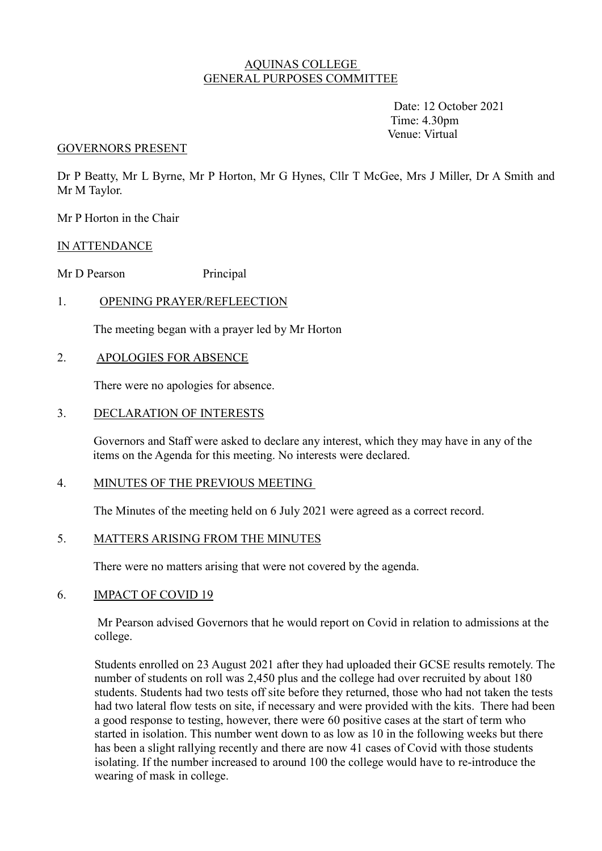## AQUINAS COLLEGE GENERAL PURPOSES COMMITTEE

 Date: 12 October 2021 Time: 4.30pm Venue: Virtual

#### GOVERNORS PRESENT

Dr P Beatty, Mr L Byrne, Mr P Horton, Mr G Hynes, Cllr T McGee, Mrs J Miller, Dr A Smith and Mr M Taylor.

Mr P Horton in the Chair

#### IN ATTENDANCE

Mr D Pearson Principal

### 1. OPENING PRAYER/REFLEECTION

The meeting began with a prayer led by Mr Horton

### 2. APOLOGIES FOR ABSENCE

There were no apologies for absence.

### 3. DECLARATION OF INTERESTS

 Governors and Staff were asked to declare any interest, which they may have in any of the items on the Agenda for this meeting. No interests were declared.

#### 4. MINUTES OF THE PREVIOUS MEETING

The Minutes of the meeting held on 6 July 2021 were agreed as a correct record.

## 5. MATTERS ARISING FROM THE MINUTES

There were no matters arising that were not covered by the agenda.

#### 6. IMPACT OF COVID 19

 Mr Pearson advised Governors that he would report on Covid in relation to admissions at the college.

Students enrolled on 23 August 2021 after they had uploaded their GCSE results remotely. The number of students on roll was 2,450 plus and the college had over recruited by about 180 students. Students had two tests off site before they returned, those who had not taken the tests had two lateral flow tests on site, if necessary and were provided with the kits. There had been a good response to testing, however, there were 60 positive cases at the start of term who started in isolation. This number went down to as low as 10 in the following weeks but there has been a slight rallying recently and there are now 41 cases of Covid with those students isolating. If the number increased to around 100 the college would have to re-introduce the wearing of mask in college.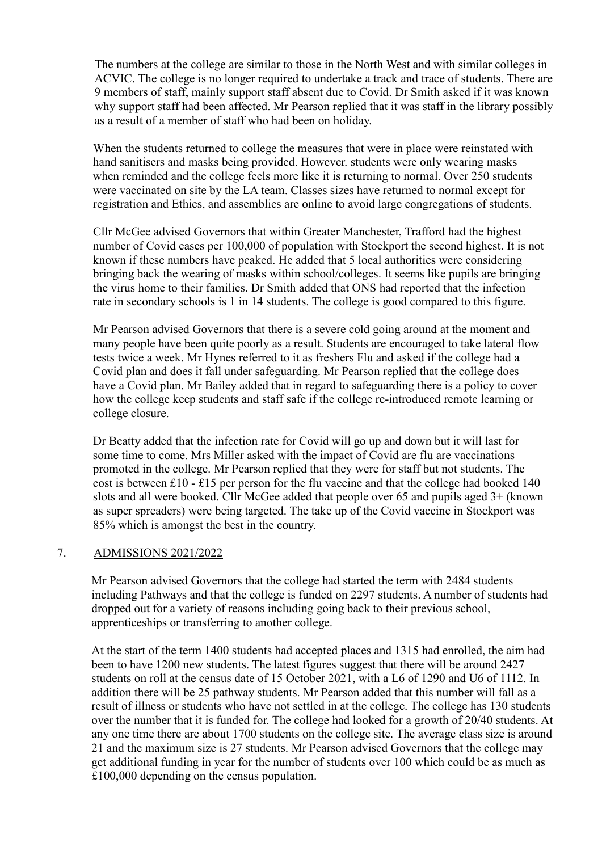The numbers at the college are similar to those in the North West and with similar colleges in ACVIC. The college is no longer required to undertake a track and trace of students. There are 9 members of staff, mainly support staff absent due to Covid. Dr Smith asked if it was known why support staff had been affected. Mr Pearson replied that it was staff in the library possibly as a result of a member of staff who had been on holiday.

When the students returned to college the measures that were in place were reinstated with hand sanitisers and masks being provided. However. students were only wearing masks when reminded and the college feels more like it is returning to normal. Over 250 students were vaccinated on site by the LA team. Classes sizes have returned to normal except for registration and Ethics, and assemblies are online to avoid large congregations of students.

Cllr McGee advised Governors that within Greater Manchester, Trafford had the highest number of Covid cases per 100,000 of population with Stockport the second highest. It is not known if these numbers have peaked. He added that 5 local authorities were considering bringing back the wearing of masks within school/colleges. It seems like pupils are bringing the virus home to their families. Dr Smith added that ONS had reported that the infection rate in secondary schools is 1 in 14 students. The college is good compared to this figure.

Mr Pearson advised Governors that there is a severe cold going around at the moment and many people have been quite poorly as a result. Students are encouraged to take lateral flow tests twice a week. Mr Hynes referred to it as freshers Flu and asked if the college had a Covid plan and does it fall under safeguarding. Mr Pearson replied that the college does have a Covid plan. Mr Bailey added that in regard to safeguarding there is a policy to cover how the college keep students and staff safe if the college re-introduced remote learning or college closure.

Dr Beatty added that the infection rate for Covid will go up and down but it will last for some time to come. Mrs Miller asked with the impact of Covid are flu are vaccinations promoted in the college. Mr Pearson replied that they were for staff but not students. The cost is between £10 - £15 per person for the flu vaccine and that the college had booked 140 slots and all were booked. Cllr McGee added that people over 65 and pupils aged 3+ (known as super spreaders) were being targeted. The take up of the Covid vaccine in Stockport was 85% which is amongst the best in the country.

### 7. ADMISSIONS 2021/2022

Mr Pearson advised Governors that the college had started the term with 2484 students including Pathways and that the college is funded on 2297 students. A number of students had dropped out for a variety of reasons including going back to their previous school, apprenticeships or transferring to another college.

At the start of the term 1400 students had accepted places and 1315 had enrolled, the aim had been to have 1200 new students. The latest figures suggest that there will be around 2427 students on roll at the census date of 15 October 2021, with a L6 of 1290 and U6 of 1112. In addition there will be 25 pathway students. Mr Pearson added that this number will fall as a result of illness or students who have not settled in at the college. The college has 130 students over the number that it is funded for. The college had looked for a growth of 20/40 students. At any one time there are about 1700 students on the college site. The average class size is around 21 and the maximum size is 27 students. Mr Pearson advised Governors that the college may get additional funding in year for the number of students over 100 which could be as much as £100,000 depending on the census population.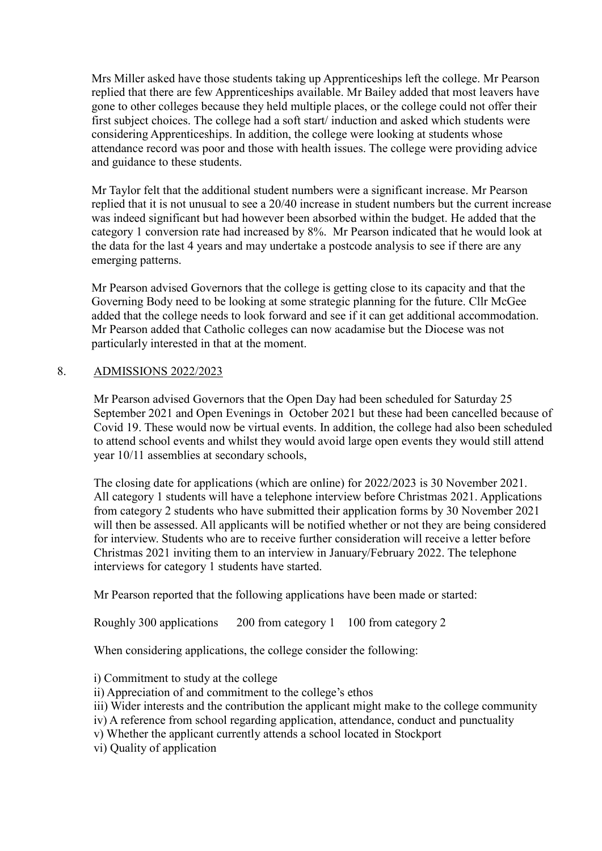Mrs Miller asked have those students taking up Apprenticeships left the college. Mr Pearson replied that there are few Apprenticeships available. Mr Bailey added that most leavers have gone to other colleges because they held multiple places, or the college could not offer their first subject choices. The college had a soft start/ induction and asked which students were considering Apprenticeships. In addition, the college were looking at students whose attendance record was poor and those with health issues. The college were providing advice and guidance to these students.

Mr Taylor felt that the additional student numbers were a significant increase. Mr Pearson replied that it is not unusual to see a 20/40 increase in student numbers but the current increase was indeed significant but had however been absorbed within the budget. He added that the category 1 conversion rate had increased by 8%. Mr Pearson indicated that he would look at the data for the last 4 years and may undertake a postcode analysis to see if there are any emerging patterns.

Mr Pearson advised Governors that the college is getting close to its capacity and that the Governing Body need to be looking at some strategic planning for the future. Cllr McGee added that the college needs to look forward and see if it can get additional accommodation. Mr Pearson added that Catholic colleges can now acadamise but the Diocese was not particularly interested in that at the moment.

# 8. ADMISSIONS 2022/2023

Mr Pearson advised Governors that the Open Day had been scheduled for Saturday 25 September 2021 and Open Evenings in October 2021 but these had been cancelled because of Covid 19. These would now be virtual events. In addition, the college had also been scheduled to attend school events and whilst they would avoid large open events they would still attend year 10/11 assemblies at secondary schools,

The closing date for applications (which are online) for 2022/2023 is 30 November 2021. All category 1 students will have a telephone interview before Christmas 2021. Applications from category 2 students who have submitted their application forms by 30 November 2021 will then be assessed. All applicants will be notified whether or not they are being considered for interview. Students who are to receive further consideration will receive a letter before Christmas 2021 inviting them to an interview in January/February 2022. The telephone interviews for category 1 students have started.

Mr Pearson reported that the following applications have been made or started:

Roughly 300 applications 200 from category 1 100 from category 2

When considering applications, the college consider the following:

i) Commitment to study at the college

ii) Appreciation of and commitment to the college's ethos

iii) Wider interests and the contribution the applicant might make to the college community

iv) A reference from school regarding application, attendance, conduct and punctuality

v) Whether the applicant currently attends a school located in Stockport

vi) Quality of application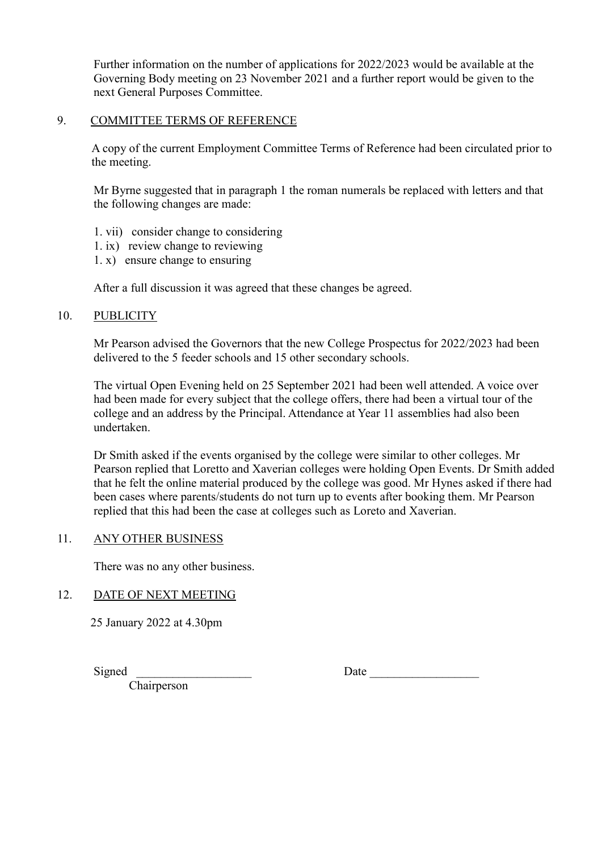Further information on the number of applications for 2022/2023 would be available at the Governing Body meeting on 23 November 2021 and a further report would be given to the next General Purposes Committee.

## 9. COMMITTEE TERMS OF REFERENCE

A copy of the current Employment Committee Terms of Reference had been circulated prior to the meeting.

Mr Byrne suggested that in paragraph 1 the roman numerals be replaced with letters and that the following changes are made:

- 1. vii) consider change to considering
- 1. ix) review change to reviewing
- 1. x) ensure change to ensuring

After a full discussion it was agreed that these changes be agreed.

### 10. PUBLICITY

Mr Pearson advised the Governors that the new College Prospectus for 2022/2023 had been delivered to the 5 feeder schools and 15 other secondary schools.

The virtual Open Evening held on 25 September 2021 had been well attended. A voice over had been made for every subject that the college offers, there had been a virtual tour of the college and an address by the Principal. Attendance at Year 11 assemblies had also been undertaken.

Dr Smith asked if the events organised by the college were similar to other colleges. Mr Pearson replied that Loretto and Xaverian colleges were holding Open Events. Dr Smith added that he felt the online material produced by the college was good. Mr Hynes asked if there had been cases where parents/students do not turn up to events after booking them. Mr Pearson replied that this had been the case at colleges such as Loreto and Xaverian.

### 11. ANY OTHER BUSINESS

There was no any other business.

### 12. DATE OF NEXT MEETING

25 January 2022 at 4.30pm

Signed \_\_\_\_\_\_\_\_\_\_\_\_\_\_\_\_\_\_\_ Date \_\_\_\_\_\_\_\_\_\_\_\_\_\_\_\_\_\_

Chairperson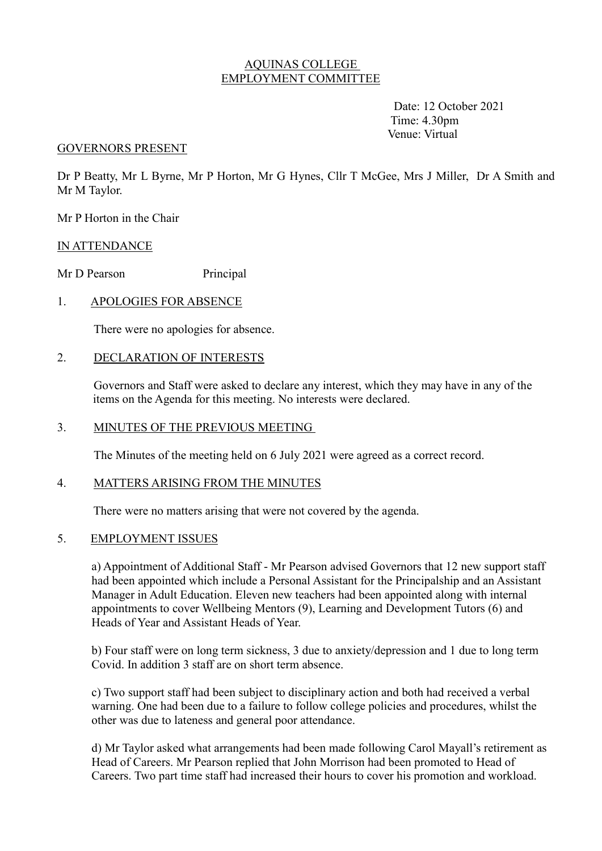## AQUINAS COLLEGE EMPLOYMENT COMMITTEE

 Date: 12 October 2021 Time: 4.30pm Venue: Virtual

#### GOVERNORS PRESENT

Dr P Beatty, Mr L Byrne, Mr P Horton, Mr G Hynes, Cllr T McGee, Mrs J Miller, Dr A Smith and Mr M Taylor.

Mr P Horton in the Chair

### IN ATTENDANCE

Mr D Pearson Principal

## 1. APOLOGIES FOR ABSENCE

There were no apologies for absence.

### 2. DECLARATION OF INTERESTS

 Governors and Staff were asked to declare any interest, which they may have in any of the items on the Agenda for this meeting. No interests were declared.

#### 3. MINUTES OF THE PREVIOUS MEETING

The Minutes of the meeting held on 6 July 2021 were agreed as a correct record.

### 4. MATTERS ARISING FROM THE MINUTES

There were no matters arising that were not covered by the agenda.

## 5. EMPLOYMENT ISSUES

a) Appointment of Additional Staff - Mr Pearson advised Governors that 12 new support staff had been appointed which include a Personal Assistant for the Principalship and an Assistant Manager in Adult Education. Eleven new teachers had been appointed along with internal appointments to cover Wellbeing Mentors (9), Learning and Development Tutors (6) and Heads of Year and Assistant Heads of Year.

b) Four staff were on long term sickness, 3 due to anxiety/depression and 1 due to long term Covid. In addition 3 staff are on short term absence.

c) Two support staff had been subject to disciplinary action and both had received a verbal warning. One had been due to a failure to follow college policies and procedures, whilst the other was due to lateness and general poor attendance.

d) Mr Taylor asked what arrangements had been made following Carol Mayall's retirement as Head of Careers. Mr Pearson replied that John Morrison had been promoted to Head of Careers. Two part time staff had increased their hours to cover his promotion and workload.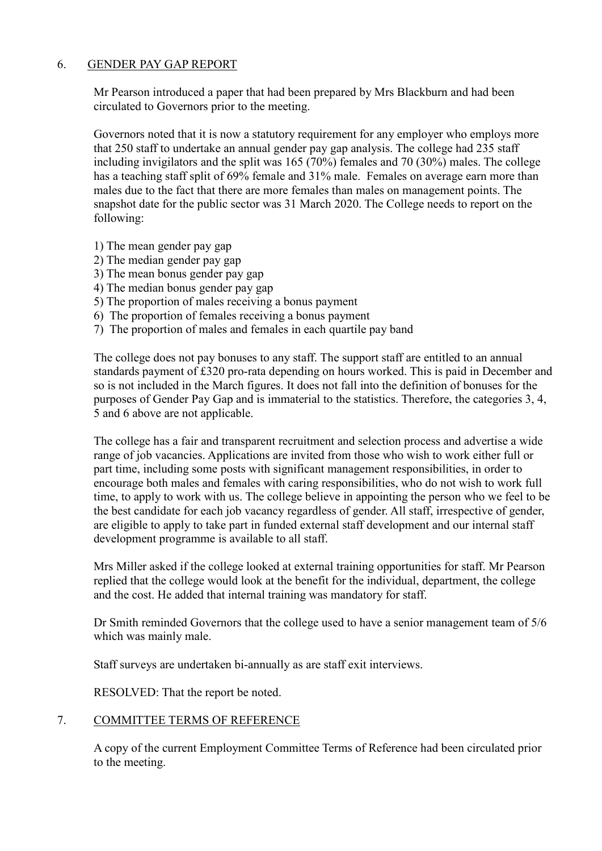# 6. GENDER PAY GAP REPORT

Mr Pearson introduced a paper that had been prepared by Mrs Blackburn and had been circulated to Governors prior to the meeting.

 Governors noted that it is now a statutory requirement for any employer who employs more that 250 staff to undertake an annual gender pay gap analysis. The college had 235 staff including invigilators and the split was 165 (70%) females and 70 (30%) males. The college has a teaching staff split of 69% female and 31% male. Females on average earn more than males due to the fact that there are more females than males on management points. The snapshot date for the public sector was 31 March 2020. The College needs to report on the following:

- 1) The mean gender pay gap
- 2) The median gender pay gap
- 3) The mean bonus gender pay gap
- 4) The median bonus gender pay gap
- 5) The proportion of males receiving a bonus payment
- 6) The proportion of females receiving a bonus payment
- 7) The proportion of males and females in each quartile pay band

 The college does not pay bonuses to any staff. The support staff are entitled to an annual standards payment of £320 pro-rata depending on hours worked. This is paid in December and so is not included in the March figures. It does not fall into the definition of bonuses for the purposes of Gender Pay Gap and is immaterial to the statistics. Therefore, the categories 3, 4, 5 and 6 above are not applicable.

The college has a fair and transparent recruitment and selection process and advertise a wide range of job vacancies. Applications are invited from those who wish to work either full or part time, including some posts with significant management responsibilities, in order to encourage both males and females with caring responsibilities, who do not wish to work full time, to apply to work with us. The college believe in appointing the person who we feel to be the best candidate for each job vacancy regardless of gender. All staff, irrespective of gender, are eligible to apply to take part in funded external staff development and our internal staff development programme is available to all staff.

 Mrs Miller asked if the college looked at external training opportunities for staff. Mr Pearson replied that the college would look at the benefit for the individual, department, the college and the cost. He added that internal training was mandatory for staff.

Dr Smith reminded Governors that the college used to have a senior management team of 5/6 which was mainly male.

Staff surveys are undertaken bi-annually as are staff exit interviews.

RESOLVED: That the report be noted.

# 7. COMMITTEE TERMS OF REFERENCE

A copy of the current Employment Committee Terms of Reference had been circulated prior to the meeting.